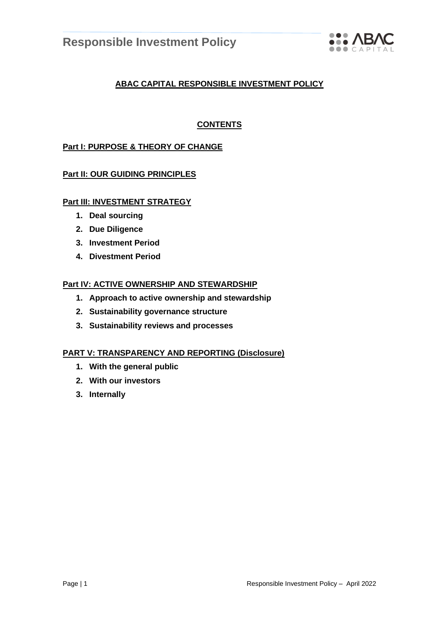

# **ABAC CAPITAL RESPONSIBLE INVESTMENT POLICY**

# **CONTENTS**

# **Part I: PURPOSE & THEORY OF CHANGE**

# **Part II: OUR GUIDING PRINCIPLES**

# **Part III: INVESTMENT STRATEGY**

- **1. Deal sourcing**
- **2. Due Diligence**
- **3. Investment Period**
- **4. Divestment Period**

# **Part IV: ACTIVE OWNERSHIP AND STEWARDSHIP**

- **1. Approach to active ownership and stewardship**
- **2. Sustainability governance structure**
- **3. Sustainability reviews and processes**

## **PART V: TRANSPARENCY AND REPORTING (Disclosure)**

- **1. With the general public**
- **2. With our investors**
- **3. Internally**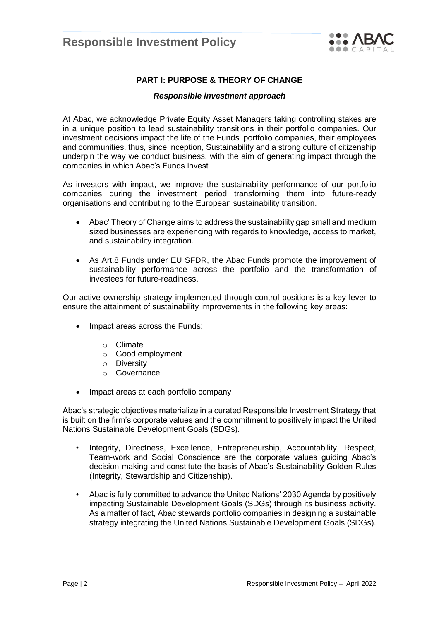

# **PART I: PURPOSE & THEORY OF CHANGE**

#### *Responsible investment approach*

At Abac, we acknowledge Private Equity Asset Managers taking controlling stakes are in a unique position to lead sustainability transitions in their portfolio companies. Our investment decisions impact the life of the Funds' portfolio companies, their employees and communities, thus, since inception, Sustainability and a strong culture of citizenship underpin the way we conduct business, with the aim of generating impact through the companies in which Abac's Funds invest.

As investors with impact, we improve the sustainability performance of our portfolio companies during the investment period transforming them into future-ready organisations and contributing to the European sustainability transition.

- Abac' Theory of Change aims to address the sustainability gap small and medium sized businesses are experiencing with regards to knowledge, access to market, and sustainability integration.
- As Art.8 Funds under EU SFDR, the Abac Funds promote the improvement of sustainability performance across the portfolio and the transformation of investees for future-readiness.

Our active ownership strategy implemented through control positions is a key lever to ensure the attainment of sustainability improvements in the following key areas:

- Impact areas across the Funds:
	- o Climate
	- o Good employment
	- o Diversity
	- o Governance
- Impact areas at each portfolio company

Abac's strategic objectives materialize in a curated Responsible Investment Strategy that is built on the firm's corporate values and the commitment to positively impact the United Nations Sustainable Development Goals (SDGs).

- Integrity, Directness, Excellence, Entrepreneurship, Accountability, Respect, Team-work and Social Conscience are the corporate values guiding Abac's decision-making and constitute the basis of Abac's Sustainability Golden Rules (Integrity, Stewardship and Citizenship).
- Abac is fully committed to advance the United Nations' 2030 Agenda by positively impacting Sustainable Development Goals (SDGs) through its business activity. As a matter of fact, Abac stewards portfolio companies in designing a sustainable strategy integrating the United Nations Sustainable Development Goals (SDGs).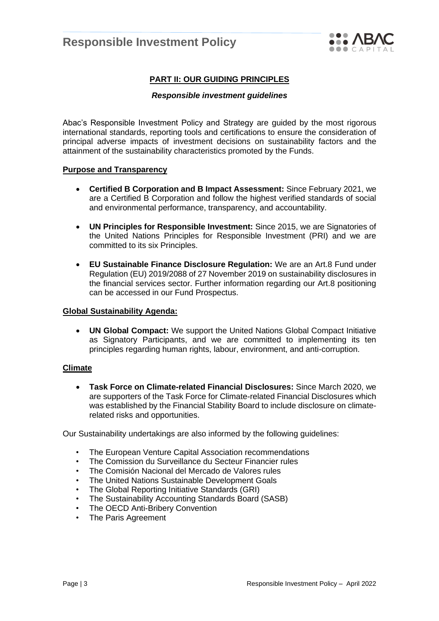

# **PART II: OUR GUIDING PRINCIPLES**

#### *Responsible investment guidelines*

Abac's Responsible Investment Policy and Strategy are guided by the most rigorous international standards, reporting tools and certifications to ensure the consideration of principal adverse impacts of investment decisions on sustainability factors and the attainment of the sustainability characteristics promoted by the Funds.

#### **Purpose and Transparency**

- **Certified B Corporation and B Impact Assessment:** Since February 2021, we are a Certified B Corporation and follow the highest verified standards of social and environmental performance, transparency, and accountability.
- **UN Principles for Responsible Investment:** Since 2015, we are Signatories of the United Nations Principles for Responsible Investment (PRI) and we are committed to its six Principles.
- **EU Sustainable Finance Disclosure Regulation:** We are an Art.8 Fund under Regulation (EU) 2019/2088 of 27 November 2019 on sustainability disclosures in the financial services sector. Further information regarding our Art.8 positioning can be accessed in our Fund Prospectus.

#### **Global Sustainability Agenda:**

• **UN Global Compact:** We support the United Nations Global Compact Initiative as Signatory Participants, and we are committed to implementing its ten principles regarding human rights, labour, environment, and anti-corruption.

#### **Climate**

• **Task Force on Climate-related Financial Disclosures:** Since March 2020, we are supporters of the Task Force for Climate-related Financial Disclosures which was established by the Financial Stability Board to include disclosure on climaterelated risks and opportunities.

Our Sustainability undertakings are also informed by the following guidelines:

- The European Venture Capital Association recommendations
- The Comission du Surveillance du Secteur Financier rules
- The Comisión Nacional del Mercado de Valores rules
- The United Nations Sustainable Development Goals
- The Global Reporting Initiative Standards (GRI)
- The Sustainability Accounting Standards Board (SASB)
- The OECD Anti-Bribery Convention
- The Paris Agreement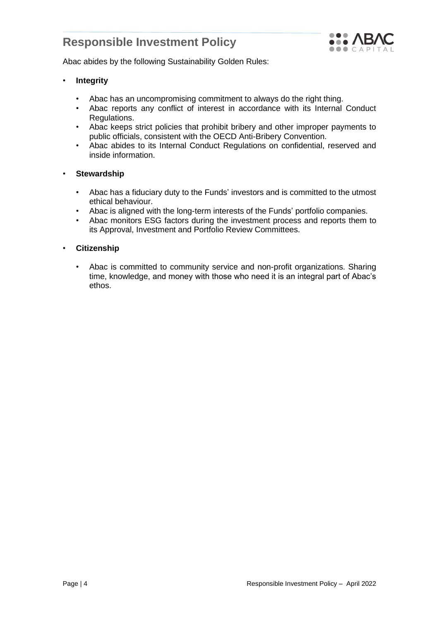

Abac abides by the following Sustainability Golden Rules:

- **Integrity**
	- Abac has an uncompromising commitment to always do the right thing.
	- Abac reports any conflict of interest in accordance with its Internal Conduct Regulations.
	- Abac keeps strict policies that prohibit bribery and other improper payments to public officials, consistent with the OECD Anti-Bribery Convention.
	- Abac abides to its Internal Conduct Regulations on confidential, reserved and inside information.

## • **Stewardship**

- Abac has a fiduciary duty to the Funds' investors and is committed to the utmost ethical behaviour.
- Abac is aligned with the long-term interests of the Funds' portfolio companies.
- Abac monitors ESG factors during the investment process and reports them to its Approval, Investment and Portfolio Review Committees.

## • **Citizenship**

• Abac is committed to community service and non-profit organizations. Sharing time, knowledge, and money with those who need it is an integral part of Abac's ethos.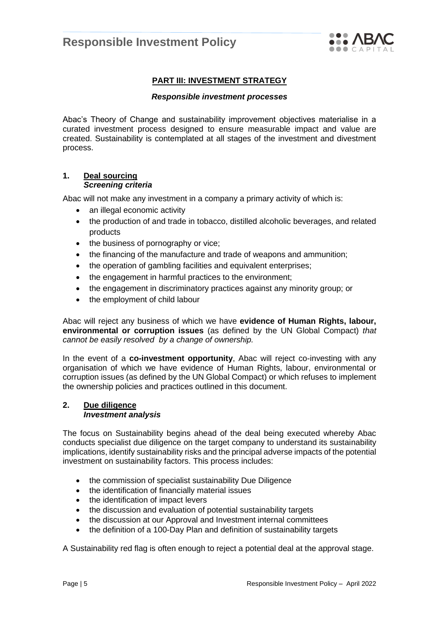

# **PART III: INVESTMENT STRATEGY**

#### *Responsible investment processes*

Abac's Theory of Change and sustainability improvement objectives materialise in a curated investment process designed to ensure measurable impact and value are created. Sustainability is contemplated at all stages of the investment and divestment process.

#### **1. Deal sourcing** *Screening criteria*

Abac will not make any investment in a company a primary activity of which is:

- an illegal economic activity
- the production of and trade in tobacco, distilled alcoholic beverages, and related products
- the business of pornography or vice;
- the financing of the manufacture and trade of weapons and ammunition;
- the operation of gambling facilities and equivalent enterprises;
- the engagement in harmful practices to the environment;
- the engagement in discriminatory practices against any minority group; or
- the employment of child labour

Abac will reject any business of which we have **evidence of Human Rights, labour, environmental or corruption issues** (as defined by the UN Global Compact) *that cannot be easily resolved by a change of ownership.*

In the event of a **co-investment opportunity**, Abac will reject co-investing with any organisation of which we have evidence of Human Rights, labour, environmental or corruption issues (as defined by the UN Global Compact) or which refuses to implement the ownership policies and practices outlined in this document.

#### **2. Due diligence** *Investment analysis*

The focus on Sustainability begins ahead of the deal being executed whereby Abac conducts specialist due diligence on the target company to understand its sustainability implications, identify sustainability risks and the principal adverse impacts of the potential investment on sustainability factors. This process includes:

- the commission of specialist sustainability Due Diligence
- the identification of financially material issues
- the identification of impact levers
- the discussion and evaluation of potential sustainability targets
- the discussion at our Approval and Investment internal committees
- the definition of a 100-Day Plan and definition of sustainability targets

A Sustainability red flag is often enough to reject a potential deal at the approval stage.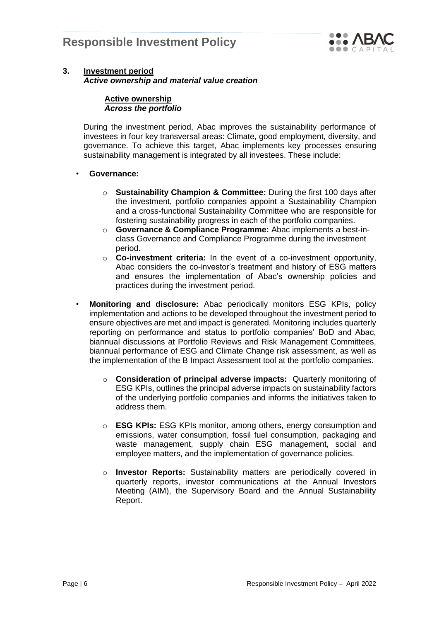

## **3. Investment period** *Active ownership and material value creation*

#### **Active ownership** *Across the portfolio*

During the investment period, Abac improves the sustainability performance of investees in four key transversal areas: Climate, good employment, diversity, and governance. To achieve this target, Abac implements key processes ensuring sustainability management is integrated by all investees. These include:

# • **Governance:**

- o **Sustainability Champion & Committee:** During the first 100 days after the investment, portfolio companies appoint a Sustainability Champion and a cross-functional Sustainability Committee who are responsible for fostering sustainability progress in each of the portfolio companies.
- o **Governance & Compliance Programme:** Abac implements a best-inclass Governance and Compliance Programme during the investment period.
- o **Co-investment criteria:** In the event of a co-investment opportunity, Abac considers the co-investor's treatment and history of ESG matters and ensures the implementation of Abac's ownership policies and practices during the investment period.
- **Monitoring and disclosure:** Abac periodically monitors ESG KPIs, policy implementation and actions to be developed throughout the investment period to ensure objectives are met and impact is generated. Monitoring includes quarterly reporting on performance and status to portfolio companies' BoD and Abac, biannual discussions at Portfolio Reviews and Risk Management Committees, biannual performance of ESG and Climate Change risk assessment, as well as the implementation of the B Impact Assessment tool at the portfolio companies.
	- o **Consideration of principal adverse impacts:** Quarterly monitoring of ESG KPIs, outlines the principal adverse impacts on sustainability factors of the underlying portfolio companies and informs the initiatives taken to address them.
	- o **ESG KPIs:** ESG KPIs monitor, among others, energy consumption and emissions, water consumption, fossil fuel consumption, packaging and waste management, supply chain ESG management, social and employee matters, and the implementation of governance policies.
	- o **Investor Reports:** Sustainability matters are periodically covered in quarterly reports, investor communications at the Annual Investors Meeting (AIM), the Supervisory Board and the Annual Sustainability Report.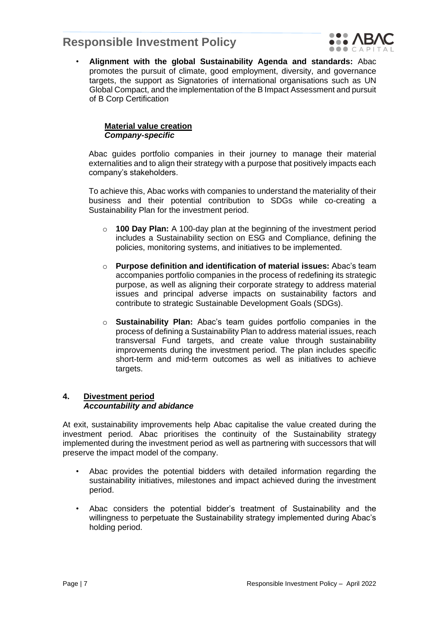

• **Alignment with the global Sustainability Agenda and standards:** Abac promotes the pursuit of climate, good employment, diversity, and governance targets, the support as Signatories of international organisations such as UN Global Compact, and the implementation of the B Impact Assessment and pursuit of B Corp Certification

## **Material value creation** *Company-specific*

Abac guides portfolio companies in their journey to manage their material externalities and to align their strategy with a purpose that positively impacts each company's stakeholders.

To achieve this, Abac works with companies to understand the materiality of their business and their potential contribution to SDGs while co-creating a Sustainability Plan for the investment period.

- o **100 Day Plan:** A 100-day plan at the beginning of the investment period includes a Sustainability section on ESG and Compliance, defining the policies, monitoring systems, and initiatives to be implemented.
- o **Purpose definition and identification of material issues:** Abac's team accompanies portfolio companies in the process of redefining its strategic purpose, as well as aligning their corporate strategy to address material issues and principal adverse impacts on sustainability factors and contribute to strategic Sustainable Development Goals (SDGs).
- o **Sustainability Plan:** Abac's team guides portfolio companies in the process of defining a Sustainability Plan to address material issues, reach transversal Fund targets, and create value through sustainability improvements during the investment period. The plan includes specific short-term and mid-term outcomes as well as initiatives to achieve targets.

# **4. Divestment period** *Accountability and abidance*

At exit, sustainability improvements help Abac capitalise the value created during the investment period. Abac prioritises the continuity of the Sustainability strategy implemented during the investment period as well as partnering with successors that will preserve the impact model of the company.

- Abac provides the potential bidders with detailed information regarding the sustainability initiatives, milestones and impact achieved during the investment period.
- Abac considers the potential bidder's treatment of Sustainability and the willingness to perpetuate the Sustainability strategy implemented during Abac's holding period.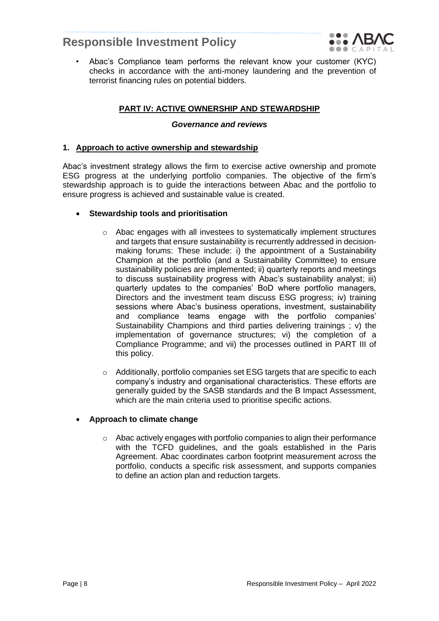

• Abac's Compliance team performs the relevant know your customer (KYC) checks in accordance with the anti-money laundering and the prevention of terrorist financing rules on potential bidders.

# **PART IV: ACTIVE OWNERSHIP AND STEWARDSHIP**

#### *Governance and reviews*

## **1. Approach to active ownership and stewardship**

Abac's investment strategy allows the firm to exercise active ownership and promote ESG progress at the underlying portfolio companies. The objective of the firm's stewardship approach is to guide the interactions between Abac and the portfolio to ensure progress is achieved and sustainable value is created.

#### • **Stewardship tools and prioritisation**

- o Abac engages with all investees to systematically implement structures and targets that ensure sustainability is recurrently addressed in decisionmaking forums: These include: i) the appointment of a Sustainability Champion at the portfolio (and a Sustainability Committee) to ensure sustainability policies are implemented; ii) quarterly reports and meetings to discuss sustainability progress with Abac's sustainability analyst; iii) quarterly updates to the companies' BoD where portfolio managers, Directors and the investment team discuss ESG progress; iv) training sessions where Abac's business operations, investment, sustainability and compliance teams engage with the portfolio companies' Sustainability Champions and third parties delivering trainings ; v) the implementation of governance structures; vi) the completion of a Compliance Programme; and vii) the processes outlined in PART III of this policy.
- $\circ$  Additionally, portfolio companies set ESG targets that are specific to each company's industry and organisational characteristics. These efforts are generally guided by the SASB standards and the B Impact Assessment, which are the main criteria used to prioritise specific actions.

## • **Approach to climate change**

o Abac actively engages with portfolio companies to align their performance with the TCFD guidelines, and the goals established in the Paris Agreement. Abac coordinates carbon footprint measurement across the portfolio, conducts a specific risk assessment, and supports companies to define an action plan and reduction targets.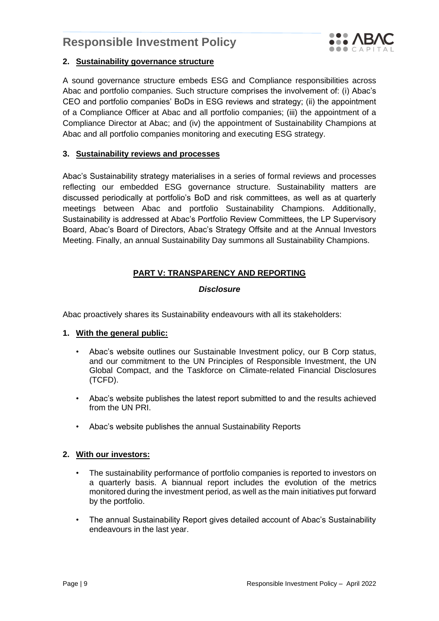

# **2. Sustainability governance structure**

A sound governance structure embeds ESG and Compliance responsibilities across Abac and portfolio companies. Such structure comprises the involvement of: (i) Abac's CEO and portfolio companies' BoDs in ESG reviews and strategy; (ii) the appointment of a Compliance Officer at Abac and all portfolio companies; (iii) the appointment of a Compliance Director at Abac; and (iv) the appointment of Sustainability Champions at Abac and all portfolio companies monitoring and executing ESG strategy.

## **3. Sustainability reviews and processes**

Abac's Sustainability strategy materialises in a series of formal reviews and processes reflecting our embedded ESG governance structure. Sustainability matters are discussed periodically at portfolio's BoD and risk committees, as well as at quarterly meetings between Abac and portfolio Sustainability Champions. Additionally, Sustainability is addressed at Abac's Portfolio Review Committees, the LP Supervisory Board, Abac's Board of Directors, Abac's Strategy Offsite and at the Annual Investors Meeting. Finally, an annual Sustainability Day summons all Sustainability Champions.

# **PART V: TRANSPARENCY AND REPORTING**

# *Disclosure*

Abac proactively shares its Sustainability endeavours with all its stakeholders:

## **1. With the general public:**

- Abac's website outlines our Sustainable Investment policy, our B Corp status, and our commitment to the UN Principles of Responsible Investment, the UN Global Compact, and the Taskforce on Climate-related Financial Disclosures (TCFD).
- Abac's website publishes the latest report submitted to and the results achieved from the UN PRI.
- Abac's website publishes the annual Sustainability Reports

## **2. With our investors:**

- The sustainability performance of portfolio companies is reported to investors on a quarterly basis. A biannual report includes the evolution of the metrics monitored during the investment period, as well as the main initiatives put forward by the portfolio.
- The annual Sustainability Report gives detailed account of Abac's Sustainability endeavours in the last year.